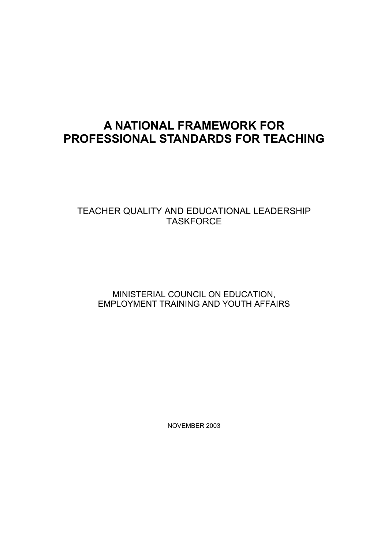# **A NATIONAL FRAMEWORK FOR PROFESSIONAL STANDARDS FOR TEACHING**

# TEACHER QUALITY AND EDUCATIONAL LEADERSHIP **TASKFORCE**

# MINISTERIAL COUNCIL ON EDUCATION, EMPLOYMENT TRAINING AND YOUTH AFFAIRS

NOVEMBER 2003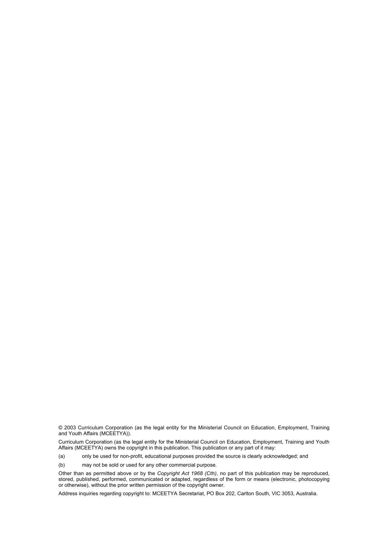© 2003 Curriculum Corporation (as the legal entity for the Ministerial Council on Education, Employment, Training and Youth Affairs (MCEETYA)).

Curriculum Corporation (as the legal entity for the Ministerial Council on Education, Employment, Training and Youth Affairs (MCEETYA) owns the copyright in this publication. This publication or any part of it may:

(a) only be used for non-profit, educational purposes provided the source is clearly acknowledged; and

(b) may not be sold or used for any other commercial purpose.

Other than as permitted above or by the *Copyright Act 1968 (Cth)*, no part of this publication may be reproduced, stored, published, performed, communicated or adapted, regardless of the form or means (electronic, photocopying or otherwise), without the prior written permission of the copyright owner.

Address inquiries regarding copyright to: MCEETYA Secretariat, PO Box 202, Carlton South, VIC 3053, Australia.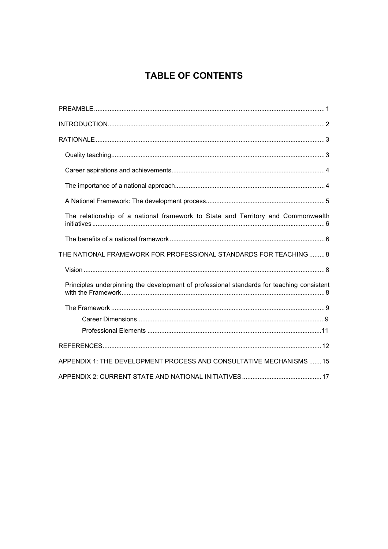# **TABLE OF CONTENTS**

| The relationship of a national framework to State and Territory and Commonwealth          |
|-------------------------------------------------------------------------------------------|
|                                                                                           |
| THE NATIONAL FRAMEWORK FOR PROFESSIONAL STANDARDS FOR TEACHING  8                         |
|                                                                                           |
| Principles underpinning the development of professional standards for teaching consistent |
|                                                                                           |
|                                                                                           |
|                                                                                           |
|                                                                                           |
| APPENDIX 1: THE DEVELOPMENT PROCESS AND CONSULTATIVE MECHANISMS  15                       |
|                                                                                           |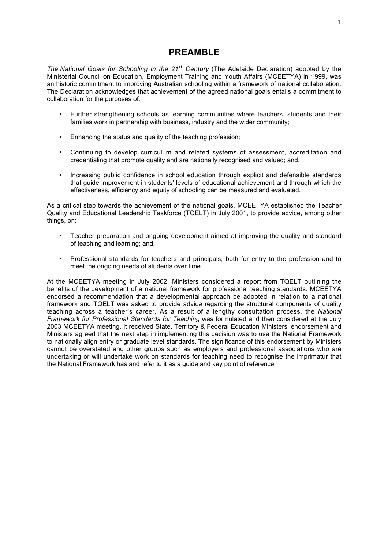# **PREAMBLE**

*The National Goals for Schooling in the 21st Century* (The Adelaide Declaration) adopted by the Ministerial Council on Education, Employment Training and Youth Affairs (MCEETYA) in 1999, was an historic commitment to improving Australian schooling within a framework of national collaboration. The Declaration acknowledges that achievement of the agreed national goals entails a commitment to collaboration for the purposes of:

- Further strengthening schools as learning communities where teachers, students and their families work in partnership with business, industry and the wider community;
- Enhancing the status and quality of the teaching profession;
- Continuing to develop curriculum and related systems of assessment, accreditation and credentialing that promote quality and are nationally recognised and valued; and,
- Increasing public confidence in school education through explicit and defensible standards that guide improvement in students' levels of educational achievement and through which the effectiveness, efficiency and equity of schooling can be measured and evaluated.

As a critical step towards the achievement of the national goals, MCEETYA established the Teacher Quality and Educational Leadership Taskforce (TQELT) in July 2001, to provide advice, among other things, on:

- Teacher preparation and ongoing development aimed at improving the quality and standard of teaching and learning; and,
- Professional standards for teachers and principals, both for entry to the profession and to meet the ongoing needs of students over time.

At the MCEETYA meeting in July 2002, Ministers considered a report from TQELT outlining the benefits of the development of a national framework for professional teaching standards. MCEETYA endorsed a recommendation that a developmental approach be adopted in relation to a national framework and TQELT was asked to provide advice regarding the structural components of quality teaching across a teacherís career. As a result of a lengthy consultation process, the *National Framework for Professional Standards for Teaching* was formulated and then considered at the July 2003 MCEETYA meeting. It received State, Territory & Federal Education Ministers' endorsement and Ministers agreed that the next step in implementing this decision was to use the National Framework to nationally align entry or graduate level standards. The significance of this endorsement by Ministers cannot be overstated and other groups such as employers and professional associations who are undertaking or will undertake work on standards for teaching need to recognise the imprimatur that the National Framework has and refer to it as a guide and key point of reference.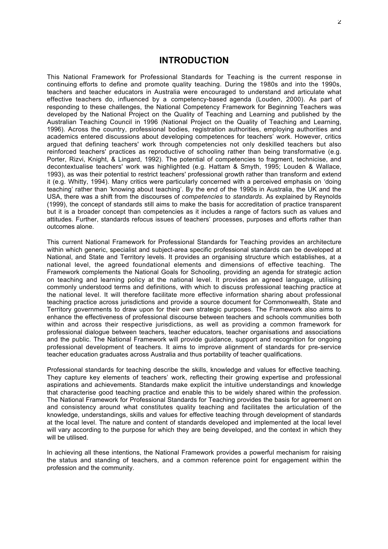# **INTRODUCTION**

This National Framework for Professional Standards for Teaching is the current response in continuing efforts to define and promote quality teaching. During the 1980s and into the 1990s, teachers and teacher educators in Australia were encouraged to understand and articulate what effective teachers do, influenced by a competency-based agenda (Louden, 2000). As part of responding to these challenges, the National Competency Framework for Beginning Teachers was developed by the National Project on the Quality of Teaching and Learning and published by the Australian Teaching Council in 1996 (National Project on the Quality of Teaching and Learning, 1996). Across the country, professional bodies, registration authorities, employing authorities and academics entered discussions about developing competences for teachersí work. However, critics argued that defining teachers' work through competencies not only deskilled teachers but also reinforced teachers' practices as reproductive of schooling rather than being transformative (e.g. Porter, Rizvi, Knight, & Lingard, 1992). The potential of competencies to fragment, technicise, and decontextualise teachers' work was highlighted (e.g. Hattam & Smyth, 1995; Louden & Wallace, 1993), as was their potential to restrict teachers' professional growth rather than transform and extend it (e.g. Whitty, 1994). Many critics were particularly concerned with a perceived emphasis on 'doing teachingí rather than ëknowing about teachingí. By the end of the 1990s in Australia, the UK and the USA, there was a shift from the discourses of *competencies* to *standards*. As explained by Reynolds (1999), the concept of standards still aims to make the basis for accreditation of practice transparent but it is a broader concept than competencies as it includes a range of factors such as values and attitudes. Further, standards refocus issues of teachersí processes, purposes and efforts rather than outcomes alone.

This current National Framework for Professional Standards for Teaching provides an architecture within which generic, specialist and subject-area specific professional standards can be developed at National, and State and Territory levels. It provides an organising structure which establishes, at a national level, the agreed foundational elements and dimensions of effective teaching. The Framework complements the National Goals for Schooling, providing an agenda for strategic action on teaching and learning policy at the national level. It provides an agreed language, utilising commonly understood terms and definitions, with which to discuss professional teaching practice at the national level. It will therefore facilitate more effective information sharing about professional teaching practice across jurisdictions and provide a source document for Commonwealth, State and Territory governments to draw upon for their own strategic purposes. The Framework also aims to enhance the effectiveness of professional discourse between teachers and schools communities both within and across their respective jurisdictions, as well as providing a common framework for professional dialogue between teachers, teacher educators, teacher organisations and associations and the public. The National Framework will provide guidance, support and recognition for ongoing professional development of teachers. It aims to improve alignment of standards for pre-service teacher education graduates across Australia and thus portability of teacher qualifications.

Professional standards for teaching describe the skills, knowledge and values for effective teaching. They capture key elements of teachers' work, reflecting their growing expertise and professional aspirations and achievements. Standards make explicit the intuitive understandings and knowledge that characterise good teaching practice and enable this to be widely shared within the profession. The National Framework for Professional Standards for Teaching provides the basis for agreement on and consistency around what constitutes quality teaching and facilitates the articulation of the knowledge, understandings, skills and values for effective teaching through development of standards at the local level. The nature and content of standards developed and implemented at the local level will vary according to the purpose for which they are being developed, and the context in which they will be utilised.

In achieving all these intentions, the National Framework provides a powerful mechanism for raising the status and standing of teachers, and a common reference point for engagement within the profession and the community.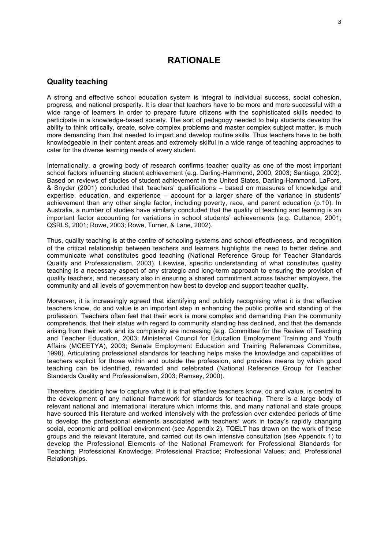# **RATIONALE**

## **Quality teaching**

A strong and effective school education system is integral to individual success, social cohesion, progress, and national prosperity. It is clear that teachers have to be more and more successful with a wide range of learners in order to prepare future citizens with the sophisticated skills needed to participate in a knowledge-based society. The sort of pedagogy needed to help students develop the ability to think critically, create, solve complex problems and master complex subject matter, is much more demanding than that needed to impart and develop routine skills. Thus teachers have to be both knowledgeable in their content areas and extremely skilful in a wide range of teaching approaches to cater for the diverse learning needs of every student.

Internationally, a growing body of research confirms teacher quality as one of the most important school factors influencing student achievement (e.g. Darling-Hammond, 2000, 2003; Santiago, 2002). Based on reviews of studies of student achievement in the United States, Darling-Hammond, LaFors, & Snyder (2001) concluded that 'teachers' qualifications – based on measures of knowledge and expertise, education, and experience  $-$  account for a larger share of the variance in students' achievement than any other single factor, including poverty, race, and parent education (p.10). In Australia, a number of studies have similarly concluded that the quality of teaching and learning is an important factor accounting for variations in school students' achievements (e.g. Cuttance, 2001; QSRLS, 2001; Rowe, 2003; Rowe, Turner, & Lane, 2002).

Thus, quality teaching is at the centre of schooling systems and school effectiveness, and recognition of the critical relationship between teachers and learners highlights the need to better define and communicate what constitutes good teaching (National Reference Group for Teacher Standards Quality and Professionalism, 2003). Likewise, specific understanding of what constitutes quality teaching is a necessary aspect of any strategic and long-term approach to ensuring the provision of quality teachers, and necessary also in ensuring a shared commitment across teacher employers, the community and all levels of government on how best to develop and support teacher quality.

Moreover, it is increasingly agreed that identifying and publicly recognising what it is that effective teachers know, do and value is an important step in enhancing the public profile and standing of the profession. Teachers often feel that their work is more complex and demanding than the community comprehends, that their status with regard to community standing has declined, and that the demands arising from their work and its complexity are increasing (e.g. Committee for the Review of Teaching and Teacher Education, 2003; Ministerial Council for Education Employment Training and Youth Affairs (MCEETYA), 2003; Senate Employment Education and Training References Committee, 1998). Articulating professional standards for teaching helps make the knowledge and capabilities of teachers explicit for those within and outside the profession, and provides means by which good teaching can be identified, rewarded and celebrated (National Reference Group for Teacher Standards Quality and Professionalism, 2003; Ramsey, 2000).

Therefore, deciding how to capture what it is that effective teachers know, do and value, is central to the development of any national framework for standards for teaching. There is a large body of relevant national and international literature which informs this, and many national and state groups have sourced this literature and worked intensively with the profession over extended periods of time to develop the professional elements associated with teachers' work in today's rapidly changing social, economic and political environment (see Appendix 2). TQELT has drawn on the work of these groups and the relevant literature, and carried out its own intensive consultation (see Appendix 1) to develop the Professional Elements of the National Framework for Professional Standards for Teaching: Professional Knowledge; Professional Practice; Professional Values; and, Professional Relationships.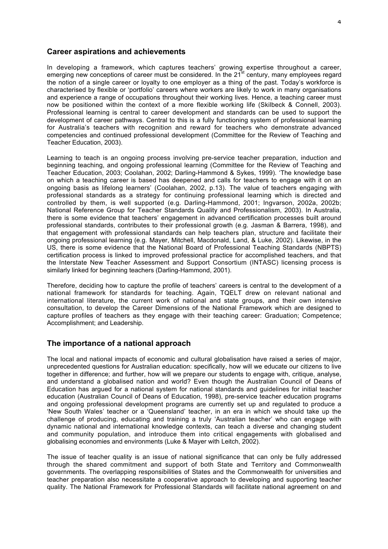### **Career aspirations and achievements**

In developing a framework, which captures teachers' growing expertise throughout a career, emerging new conceptions of career must be considered. In the  $21<sup>st</sup>$  century, many employees regard the notion of a single career or loyalty to one employer as a thing of the past. Today's workforce is characterised by flexible or 'portfolio' careers where workers are likely to work in many organisations and experience a range of occupations throughout their working lives. Hence, a teaching career must now be positioned within the context of a more flexible working life (Skilbeck & Connell, 2003). Professional learning is central to career development and standards can be used to support the development of career pathways. Central to this is a fully functioning system of professional learning for Australiaís teachers with recognition and reward for teachers who demonstrate advanced competencies and continued professional development (Committee for the Review of Teaching and Teacher Education, 2003).

Learning to teach is an ongoing process involving pre-service teacher preparation, induction and beginning teaching, and ongoing professional learning (Committee for the Review of Teaching and Teacher Education, 2003; Coolahan, 2002; Darling-Hammond & Sykes, 1999). 'The knowledge base on which a teaching career is based has deepened and calls for teachers to engage with it on an ongoing basis as lifelong learners' (Coolahan, 2002, p.13). The value of teachers engaging with professional standards as a strategy for continuing professional learning which is directed and controlled by them, is well supported (e.g. Darling-Hammond, 2001; Ingvarson, 2002a, 2002b; National Reference Group for Teacher Standards Quality and Professionalism, 2003). In Australia, there is some evidence that teachersí engagement in advanced certification processes built around professional standards, contributes to their professional growth (e.g. Jasman & Barrera, 1998), and that engagement with professional standards can help teachers plan, structure and facilitate their ongoing professional learning (e.g. Mayer, Mitchell, Macdonald, Land, & Luke, 2002). Likewise, in the US, there is some evidence that the National Board of Professional Teaching Standards (NBPTS) certification process is linked to improved professional practice for accomplished teachers, and that the Interstate New Teacher Assessment and Support Consortium (INTASC) licensing process is similarly linked for beginning teachers (Darling-Hammond, 2001).

Therefore, deciding how to capture the profile of teachers' careers is central to the development of a national framework for standards for teaching. Again, TQELT drew on relevant national and international literature, the current work of national and state groups, and their own intensive consultation, to develop the Career Dimensions of the National Framework which are designed to capture profiles of teachers as they engage with their teaching career: Graduation; Competence; Accomplishment; and Leadership.

## **The importance of a national approach**

The local and national impacts of economic and cultural globalisation have raised a series of major, unprecedented questions for Australian education: specifically, how will we educate our citizens to live together in difference; and further, how will we prepare our students to engage with, critique, analyse, and understand a globalised nation and world? Even though the Australian Council of Deans of Education has argued for a national system for national standards and guidelines for initial teacher education (Australian Council of Deans of Education, 1998), pre-service teacher education programs and ongoing professional development programs are currently set up and regulated to produce a Kew South Wales' teacher or a 'Queensland' teacher, in an era in which we should take up the challenge of producing, educating and training a truly 'Australian teacher' who can engage with dynamic national and international knowledge contexts, can teach a diverse and changing student and community population, and introduce them into critical engagements with globalised and globalising economies and environments (Luke & Mayer with Leitch, 2002).

The issue of teacher quality is an issue of national significance that can only be fully addressed through the shared commitment and support of both State and Territory and Commonwealth governments. The overlapping responsibilities of States and the Commonwealth for universities and teacher preparation also necessitate a cooperative approach to developing and supporting teacher quality. The National Framework for Professional Standards will facilitate national agreement on and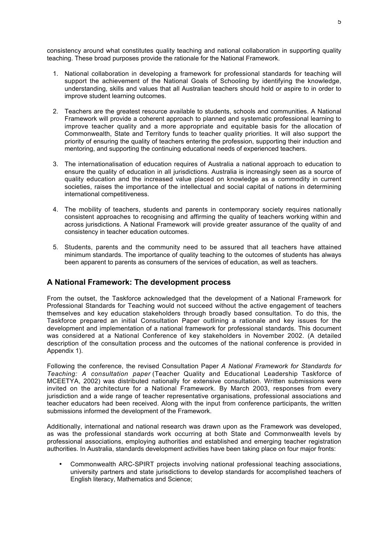consistency around what constitutes quality teaching and national collaboration in supporting quality teaching. These broad purposes provide the rationale for the National Framework.

- 1. National collaboration in developing a framework for professional standards for teaching will support the achievement of the National Goals of Schooling by identifying the knowledge, understanding, skills and values that all Australian teachers should hold or aspire to in order to improve student learning outcomes.
- 2. Teachers are the greatest resource available to students, schools and communities. A National Framework will provide a coherent approach to planned and systematic professional learning to improve teacher quality and a more appropriate and equitable basis for the allocation of Commonwealth, State and Territory funds to teacher quality priorities. It will also support the priority of ensuring the quality of teachers entering the profession, supporting their induction and mentoring, and supporting the continuing educational needs of experienced teachers.
- 3. The internationalisation of education requires of Australia a national approach to education to ensure the quality of education in all jurisdictions. Australia is increasingly seen as a source of quality education and the increased value placed on knowledge as a commodity in current societies, raises the importance of the intellectual and social capital of nations in determining international competitiveness.
- 4. The mobility of teachers, students and parents in contemporary society requires nationally consistent approaches to recognising and affirming the quality of teachers working within and across jurisdictions. A National Framework will provide greater assurance of the quality of and consistency in teacher education outcomes.
- 5. Students, parents and the community need to be assured that all teachers have attained minimum standards. The importance of quality teaching to the outcomes of students has always been apparent to parents as consumers of the services of education, as well as teachers.

## **A National Framework: The development process**

From the outset, the Taskforce acknowledged that the development of a National Framework for Professional Standards for Teaching would not succeed without the active engagement of teachers themselves and key education stakeholders through broadly based consultation. To do this, the Taskforce prepared an initial Consultation Paper outlining a rationale and key issues for the development and implementation of a national framework for professional standards. This document was considered at a National Conference of key stakeholders in November 2002. (A detailed description of the consultation process and the outcomes of the national conference is provided in Appendix 1).

Following the conference, the revised Consultation Paper *A National Framework for Standards for Teaching: A consultation paper* (Teacher Quality and Educational Leadership Taskforce of MCEETYA, 2002) was distributed nationally for extensive consultation. Written submissions were invited on the architecture for a National Framework. By March 2003, responses from every jurisdiction and a wide range of teacher representative organisations, professional associations and teacher educators had been received. Along with the input from conference participants, the written submissions informed the development of the Framework.

Additionally, international and national research was drawn upon as the Framework was developed, as was the professional standards work occurring at both State and Commonwealth levels by professional associations, employing authorities and established and emerging teacher registration authorities. In Australia, standards development activities have been taking place on four major fronts:

• Commonwealth ARC-SPIRT projects involving national professional teaching associations, university partners and state jurisdictions to develop standards for accomplished teachers of English literacy, Mathematics and Science;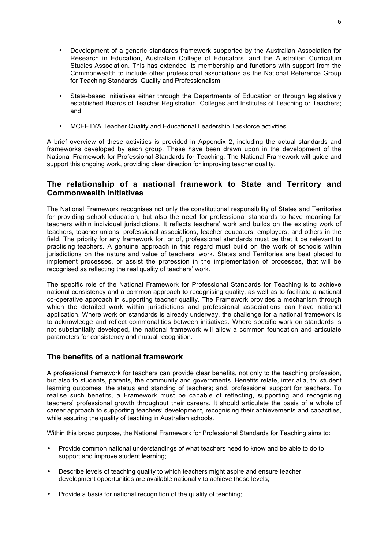- Development of a generic standards framework supported by the Australian Association for Research in Education, Australian College of Educators, and the Australian Curriculum Studies Association. This has extended its membership and functions with support from the Commonwealth to include other professional associations as the National Reference Group for Teaching Standards, Quality and Professionalism;
- State-based initiatives either through the Departments of Education or through legislatively established Boards of Teacher Registration, Colleges and Institutes of Teaching or Teachers; and,
- MCEETYA Teacher Quality and Educational Leadership Taskforce activities.

A brief overview of these activities is provided in Appendix 2, including the actual standards and frameworks developed by each group. These have been drawn upon in the development of the National Framework for Professional Standards for Teaching. The National Framework will guide and support this ongoing work, providing clear direction for improving teacher quality.

## **The relationship of a national framework to State and Territory and Commonwealth initiatives**

The National Framework recognises not only the constitutional responsibility of States and Territories for providing school education, but also the need for professional standards to have meaning for teachers within individual jurisdictions. It reflects teachers' work and builds on the existing work of teachers, teacher unions, professional associations, teacher educators, employers, and others in the field. The priority for any framework for, or of, professional standards must be that it be relevant to practising teachers. A genuine approach in this regard must build on the work of schools within jurisdictions on the nature and value of teachers' work. States and Territories are best placed to implement processes, or assist the profession in the implementation of processes, that will be recognised as reflecting the real quality of teachers' work.

The specific role of the National Framework for Professional Standards for Teaching is to achieve national consistency and a common approach to recognising quality, as well as to facilitate a national co-operative approach in supporting teacher quality. The Framework provides a mechanism through which the detailed work within jurisdictions and professional associations can have national application. Where work on standards is already underway, the challenge for a national framework is to acknowledge and reflect commonalities between initiatives. Where specific work on standards is not substantially developed, the national framework will allow a common foundation and articulate parameters for consistency and mutual recognition.

## **The benefits of a national framework**

A professional framework for teachers can provide clear benefits, not only to the teaching profession, but also to students, parents, the community and governments. Benefits relate, inter alia, to: student learning outcomes; the status and standing of teachers; and, professional support for teachers. To realise such benefits, a Framework must be capable of reflecting, supporting and recognising teachersí professional growth throughout their careers. It should articulate the basis of a whole of career approach to supporting teachers' development, recognising their achievements and capacities, while assuring the quality of teaching in Australian schools.

Within this broad purpose, the National Framework for Professional Standards for Teaching aims to:

- Provide common national understandings of what teachers need to know and be able to do to support and improve student learning;
- Describe levels of teaching quality to which teachers might aspire and ensure teacher development opportunities are available nationally to achieve these levels;
- Provide a basis for national recognition of the quality of teaching;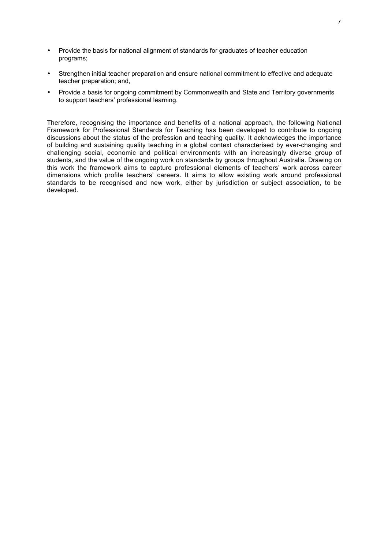- Provide the basis for national alignment of standards for graduates of teacher education programs;
- Strengthen initial teacher preparation and ensure national commitment to effective and adequate teacher preparation; and,
- Provide a basis for ongoing commitment by Commonwealth and State and Territory governments to support teachers' professional learning.

Therefore, recognising the importance and benefits of a national approach, the following National Framework for Professional Standards for Teaching has been developed to contribute to ongoing discussions about the status of the profession and teaching quality. It acknowledges the importance of building and sustaining quality teaching in a global context characterised by ever-changing and challenging social, economic and political environments with an increasingly diverse group of students, and the value of the ongoing work on standards by groups throughout Australia. Drawing on this work the framework aims to capture professional elements of teachers' work across career dimensions which profile teachers' careers. It aims to allow existing work around professional standards to be recognised and new work, either by jurisdiction or subject association, to be developed.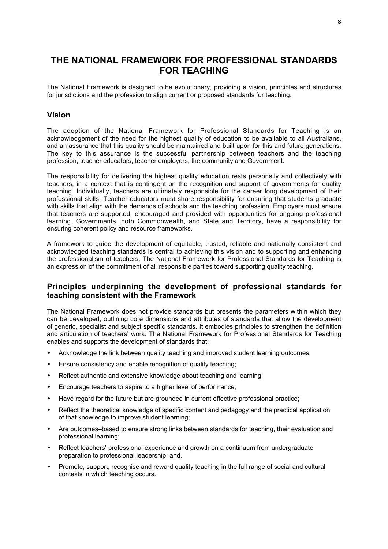# **THE NATIONAL FRAMEWORK FOR PROFESSIONAL STANDARDS FOR TEACHING**

The National Framework is designed to be evolutionary, providing a vision, principles and structures for jurisdictions and the profession to align current or proposed standards for teaching.

### **Vision**

The adoption of the National Framework for Professional Standards for Teaching is an acknowledgement of the need for the highest quality of education to be available to all Australians, and an assurance that this quality should be maintained and built upon for this and future generations. The key to this assurance is the successful partnership between teachers and the teaching profession, teacher educators, teacher employers, the community and Government.

The responsibility for delivering the highest quality education rests personally and collectively with teachers, in a context that is contingent on the recognition and support of governments for quality teaching. Individually, teachers are ultimately responsible for the career long development of their professional skills. Teacher educators must share responsibility for ensuring that students graduate with skills that align with the demands of schools and the teaching profession. Employers must ensure that teachers are supported, encouraged and provided with opportunities for ongoing professional learning. Governments, both Commonwealth, and State and Territory, have a responsibility for ensuring coherent policy and resource frameworks.

A framework to guide the development of equitable, trusted, reliable and nationally consistent and acknowledged teaching standards is central to achieving this vision and to supporting and enhancing the professionalism of teachers. The National Framework for Professional Standards for Teaching is an expression of the commitment of all responsible parties toward supporting quality teaching.

## **Principles underpinning the development of professional standards for teaching consistent with the Framework**

The National Framework does not provide standards but presents the parameters within which they can be developed, outlining core dimensions and attributes of standards that allow the development of generic, specialist and subject specific standards. It embodies principles to strengthen the definition and articulation of teachers' work. The National Framework for Professional Standards for Teaching enables and supports the development of standards that:

- Acknowledge the link between quality teaching and improved student learning outcomes;
- Ensure consistency and enable recognition of quality teaching;
- Reflect authentic and extensive knowledge about teaching and learning;
- Encourage teachers to aspire to a higher level of performance;
- Have regard for the future but are grounded in current effective professional practice;
- Reflect the theoretical knowledge of specific content and pedagogy and the practical application of that knowledge to improve student learning;
- Are outcomes–based to ensure strong links between standards for teaching, their evaluation and professional learning;
- Reflect teachers' professional experience and growth on a continuum from undergraduate preparation to professional leadership; and,
- Promote, support, recognise and reward quality teaching in the full range of social and cultural contexts in which teaching occurs.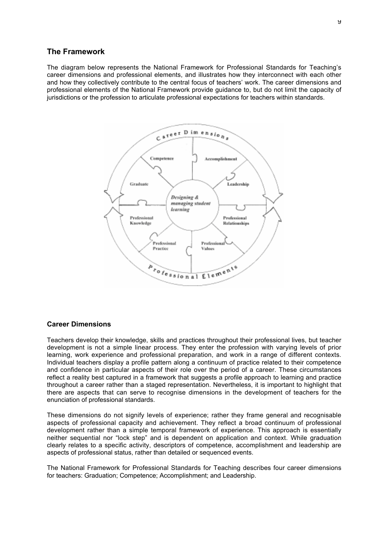### **The Framework**

The diagram below represents the National Framework for Professional Standards for Teachingís career dimensions and professional elements, and illustrates how they interconnect with each other and how they collectively contribute to the central focus of teachers' work. The career dimensions and professional elements of the National Framework provide guidance to, but do not limit the capacity of jurisdictions or the profession to articulate professional expectations for teachers within standards.



#### **Career Dimensions**

Teachers develop their knowledge, skills and practices throughout their professional lives, but teacher development is not a simple linear process. They enter the profession with varying levels of prior learning, work experience and professional preparation, and work in a range of different contexts. Individual teachers display a profile pattern along a continuum of practice related to their competence and confidence in particular aspects of their role over the period of a career. These circumstances reflect a reality best captured in a framework that suggests a profile approach to learning and practice throughout a career rather than a staged representation. Nevertheless, it is important to highlight that there are aspects that can serve to recognise dimensions in the development of teachers for the enunciation of professional standards.

These dimensions do not signify levels of experience; rather they frame general and recognisable aspects of professional capacity and achievement. They reflect a broad continuum of professional development rather than a simple temporal framework of experience. This approach is essentially neither sequential nor "lock step" and is dependent on application and context. While graduation clearly relates to a specific activity, descriptors of competence, accomplishment and leadership are aspects of professional status, rather than detailed or sequenced events.

The National Framework for Professional Standards for Teaching describes four career dimensions for teachers: Graduation; Competence; Accomplishment; and Leadership.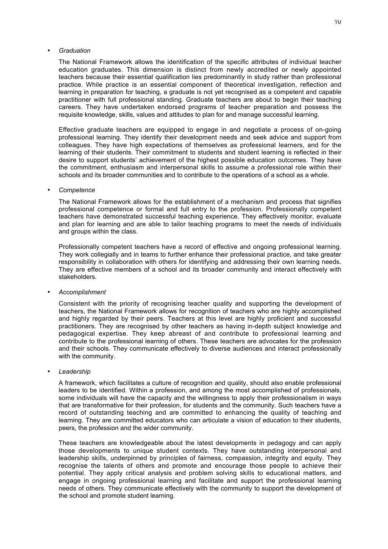#### • *Graduation*

The National Framework allows the identification of the specific attributes of individual teacher education graduates. This dimension is distinct from newly accredited or newly appointed teachers because their essential qualification lies predominantly in study rather than professional practice. While practice is an essential component of theoretical investigation, reflection and learning in preparation for teaching, a graduate is not yet recognised as a competent and capable practitioner with full professional standing. Graduate teachers are about to begin their teaching careers. They have undertaken endorsed programs of teacher preparation and possess the requisite knowledge, skills, values and attitudes to plan for and manage successful learning.

Effective graduate teachers are equipped to engage in and negotiate a process of on-going professional learning. They identify their development needs and seek advice and support from colleagues. They have high expectations of themselves as professional learners, and for the learning of their students. Their commitment to students and student learning is reflected in their desire to support students' achievement of the highest possible education outcomes. They have the commitment, enthusiasm and interpersonal skills to assume a professional role within their schools and its broader communities and to contribute to the operations of a school as a whole.

#### • *Competence*

The National Framework allows for the establishment of a mechanism and process that signifies professional competence or formal and full entry to the profession. Professionally competent teachers have demonstrated successful teaching experience. They effectively monitor, evaluate and plan for learning and are able to tailor teaching programs to meet the needs of individuals and groups within the class.

Professionally competent teachers have a record of effective and ongoing professional learning. They work collegially and in teams to further enhance their professional practice, and take greater responsibility in collaboration with others for identifying and addressing their own learning needs. They are effective members of a school and its broader community and interact effectively with stakeholders.

• *Accomplishment*

Consistent with the priority of recognising teacher quality and supporting the development of teachers, the National Framework allows for recognition of teachers who are highly accomplished and highly regarded by their peers. Teachers at this level are highly proficient and successful practitioners. They are recognised by other teachers as having in-depth subject knowledge and pedagogical expertise. They keep abreast of and contribute to professional learning and contribute to the professional learning of others. These teachers are advocates for the profession and their schools. They communicate effectively to diverse audiences and interact professionally with the community.

• *Leadership*

A framework, which facilitates a culture of recognition and quality, should also enable professional leaders to be identified. Within a profession, and among the most accomplished of professionals, some individuals will have the capacity and the willingness to apply their professionalism in ways that are transformative for their profession, for students and the community. Such teachers have a record of outstanding teaching and are committed to enhancing the quality of teaching and learning. They are committed educators who can articulate a vision of education to their students, peers, the profession and the wider community.

These teachers are knowledgeable about the latest developments in pedagogy and can apply those developments to unique student contexts. They have outstanding interpersonal and leadership skills, underpinned by principles of fairness, compassion, integrity and equity. They recognise the talents of others and promote and encourage those people to achieve their potential. They apply critical analysis and problem solving skills to educational matters, and engage in ongoing professional learning and facilitate and support the professional learning needs of others. They communicate effectively with the community to support the development of the school and promote student learning.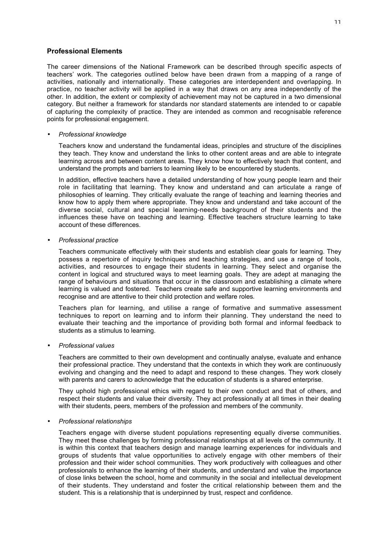#### **Professional Elements**

The career dimensions of the National Framework can be described through specific aspects of teachersí work. The categories outlined below have been drawn from a mapping of a range of activities, nationally and internationally. These categories are interdependent and overlapping. In practice, no teacher activity will be applied in a way that draws on any area independently of the other. In addition, the extent or complexity of achievement may not be captured in a two dimensional category. But neither a framework for standards nor standard statements are intended to or capable of capturing the complexity of practice. They are intended as common and recognisable reference points for professional engagement.

#### • *Professional knowledge*

Teachers know and understand the fundamental ideas, principles and structure of the disciplines they teach. They know and understand the links to other content areas and are able to integrate learning across and between content areas. They know how to effectively teach that content, and understand the prompts and barriers to learning likely to be encountered by students.

In addition, effective teachers have a detailed understanding of how young people learn and their role in facilitating that learning. They know and understand and can articulate a range of philosophies of learning. They critically evaluate the range of teaching and learning theories and know how to apply them where appropriate. They know and understand and take account of the diverse social, cultural and special learning-needs background of their students and the influences these have on teaching and learning. Effective teachers structure learning to take account of these differences.

#### • *Professional practice*

Teachers communicate effectively with their students and establish clear goals for learning. They possess a repertoire of inquiry techniques and teaching strategies, and use a range of tools, activities, and resources to engage their students in learning. They select and organise the content in logical and structured ways to meet learning goals. They are adept at managing the range of behaviours and situations that occur in the classroom and establishing a climate where learning is valued and fostered. Teachers create safe and supportive learning environments and recognise and are attentive to their child protection and welfare roles.

Teachers plan for learning, and utilise a range of formative and summative assessment techniques to report on learning and to inform their planning. They understand the need to evaluate their teaching and the importance of providing both formal and informal feedback to students as a stimulus to learning.

#### • *Professional values*

Teachers are committed to their own development and continually analyse, evaluate and enhance their professional practice. They understand that the contexts in which they work are continuously evolving and changing and the need to adapt and respond to these changes. They work closely with parents and carers to acknowledge that the education of students is a shared enterprise.

They uphold high professional ethics with regard to their own conduct and that of others, and respect their students and value their diversity. They act professionally at all times in their dealing with their students, peers, members of the profession and members of the community.

#### • *Professional relationships*

Teachers engage with diverse student populations representing equally diverse communities. They meet these challenges by forming professional relationships at all levels of the community. It is within this context that teachers design and manage learning experiences for individuals and groups of students that value opportunities to actively engage with other members of their profession and their wider school communities. They work productively with colleagues and other professionals to enhance the learning of their students, and understand and value the importance of close links between the school, home and community in the social and intellectual development of their students. They understand and foster the critical relationship between them and the student. This is a relationship that is underpinned by trust, respect and confidence.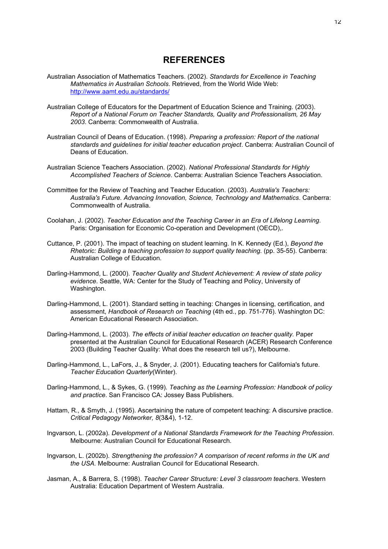# **REFERENCES**

- Australian Association of Mathematics Teachers. (2002). *Standards for Excellence in Teaching Mathematics in Australian Schools*. Retrieved, from the World Wide Web: http://www.aamt.edu.au/standards/
- Australian College of Educators for the Department of Education Science and Training. (2003). *Report of a National Forum on Teacher Standards, Quality and Professionalism, 26 May 2003*. Canberra: Commonwealth of Australia.
- Australian Council of Deans of Education. (1998). *Preparing a profession: Report of the national standards and guidelines for initial teacher education project*. Canberra: Australian Council of Deans of Education.
- Australian Science Teachers Association. (2002). *National Professional Standards for Highly Accomplished Teachers of Science*. Canberra: Australian Science Teachers Association.
- Committee for the Review of Teaching and Teacher Education. (2003). *Australia's Teachers: Australia's Future. Advancing Innovation, Science, Technology and Mathematics*. Canberra: Commonwealth of Australia.
- Coolahan, J. (2002). *Teacher Education and the Teaching Career in an Era of Lifelong Learning*. Paris: Organisation for Economic Co-operation and Development (OECD),.
- Cuttance, P. (2001). The impact of teaching on student learning. In K. Kennedy (Ed.), *Beyond the Rhetoric: Building a teaching profession to support quality teaching.* (pp. 35-55). Canberra: Australian College of Education.
- Darling-Hammond, L. (2000). *Teacher Quality and Student Achievement: A review of state policy evidence*. Seattle, WA: Center for the Study of Teaching and Policy, University of Washington.
- Darling-Hammond, L. (2001). Standard setting in teaching: Changes in licensing, certification, and assessment, *Handbook of Research on Teaching* (4th ed., pp. 751-776). Washington DC: American Educational Research Association.
- Darling-Hammond, L. (2003). *The effects of initial teacher education on teacher quality.* Paper presented at the Australian Council for Educational Research (ACER) Research Conference 2003 (Building Teacher Quality: What does the research tell us?), Melbourne.
- Darling-Hammond, L., LaFors, J., & Snyder, J. (2001). Educating teachers for California's future. *Teacher Education Quarterly*(Winter).
- Darling-Hammond, L., & Sykes, G. (1999). *Teaching as the Learning Profession: Handbook of policy and practice*. San Francisco CA: Jossey Bass Publishers.
- Hattam, R., & Smyth, J. (1995). Ascertaining the nature of competent teaching: A discursive practice. *Critical Pedagogy Networker, 8*(3&4), 1-12.
- Ingvarson, L. (2002a). *Development of a National Standards Framework for the Teaching Profession*. Melbourne: Australian Council for Educational Research.
- Ingvarson, L. (2002b). *Strengthening the profession? A comparison of recent reforms in the UK and the USA.* Melbourne: Australian Council for Educational Research.
- Jasman, A., & Barrera, S. (1998). *Teacher Career Structure: Level 3 classroom teachers*. Western Australia: Education Department of Western Australia.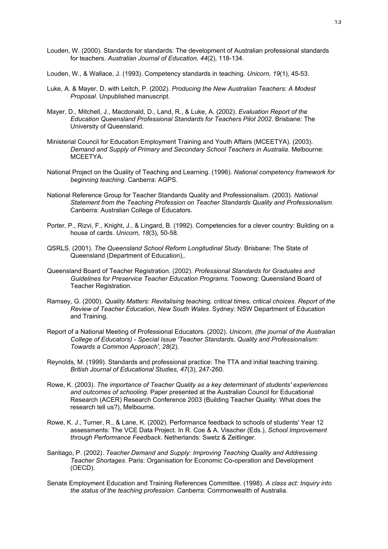- Louden, W. (2000). Standards for standards: The development of Australian professional standards for teachers. *Australian Journal of Education, 44*(2), 118-134.
- Louden, W., & Wallace, J. (1993). Competency standards in teaching. *Unicorn, 19*(1), 45-53.
- Luke, A. & Mayer, D. with Leitch, P. (2002). *Producing the New Australian Teachers: A Modest Proposal*. Unpublished manuscript.
- Mayer, D., Mitchell, J., Macdonald, D., Land, R., & Luke, A. (2002). *Evaluation Report of the Education Queensland Professional Standards for Teachers Pilot 2002*. Brisbane: The University of Queensland.
- Ministerial Council for Education Employment Training and Youth Affairs (MCEETYA). (2003). *Demand and Supply of Primary and Secondary School Teachers in Australia*. Melbourne: MCEETYA.
- National Project on the Quality of Teaching and Learning. (1996). *National competency framework for beginning teaching*. Canberra: AGPS.
- National Reference Group for Teacher Standards Quality and Professionalism. (2003). *National Statement from the Teaching Profession on Teacher Standards Quality and Professionalism*. Canberra: Australian College of Educators.
- Porter, P., Rizvi, F., Knight, J., & Lingard, B. (1992). Competencies for a clever country: Building on a house of cards. *Unicorn, 18*(3), 50-58.
- QSRLS. (2001). *The Queensland School Reform Longitudinal Study*. Brisbane: The State of Queensland (Department of Education),.
- Queensland Board of Teacher Registration. (2002). *Professional Standards for Graduates and Guidelines for Preservice Teacher Education Programs*. Toowong: Queensland Board of Teacher Registration.
- Ramsey, G. (2000). *Quality Matters: Revitalising teaching, critical times, critical choices. Report of the Review of Teacher Education, New South Wales*. Sydney: NSW Department of Education and Training.
- Report of a National Meeting of Professional Educators. (2002). *Unicorn, (the journal of the Australian College of Educators) - Special Issue 'Teacher Standards, Quality and Professionalism: Towards a Common Approach', 28*(2).
- Reynolds, M. (1999). Standards and professional practice: The TTA and initial teaching training. *British Journal of Educational Studies, 47*(3), 247-260.
- Rowe, K. (2003). *The importance of Teacher Quality as a key determinant of students' experiences and outcomes of schooling.* Paper presented at the Australian Council for Educational Research (ACER) Research Conference 2003 (Building Teacher Quality: What does the research tell us?), Melbourne.
- Rowe, K. J., Turner, R., & Lane, K. (2002). Performance feedback to schools of students' Year 12 assessments: The VCE Data Project. In R. Coe & A. Visscher (Eds.), *School Improvement through Performance Feedback*. Netherlands: Swetz & Zeitlinger.
- Santiago, P. (2002). *Teacher Demand and Supply: Improving Teaching Quality and Addressing Teacher Shortages*. Paris: Organisation for Economic Co-operation and Development (OECD).
- Senate Employment Education and Training References Committee. (1998). *A class act: Inquiry into the status of the teaching profession*. Canberra: Commonwealth of Australia.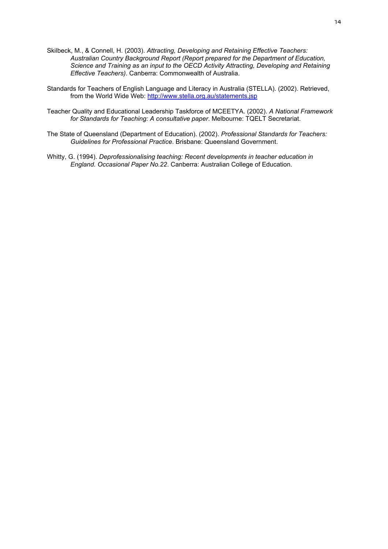- Skilbeck, M., & Connell, H. (2003). *Attracting, Developing and Retaining Effective Teachers: Australian Country Background Report (Report prepared for the Department of Education, Science and Training as an input to the OECD Activity Attracting, Developing and Retaining Effective Teachers)*. Canberra: Commonwealth of Australia.
- Standards for Teachers of English Language and Literacy in Australia (STELLA). (2002). Retrieved, from the World Wide Web: http://www.stella.org.au/statements.jsp
- Teacher Quality and Educational Leadership Taskforce of MCEETYA. (2002). *A National Framework for Standards for Teaching: A consultative paper*. Melbourne: TQELT Secretariat.
- The State of Queensland (Department of Education). (2002). *Professional Standards for Teachers: Guidelines for Professional Practice*. Brisbane: Queensland Government.
- Whitty, G. (1994). *Deprofessionalising teaching: Recent developments in teacher education in England. Occasional Paper No.22*. Canberra: Australian College of Education.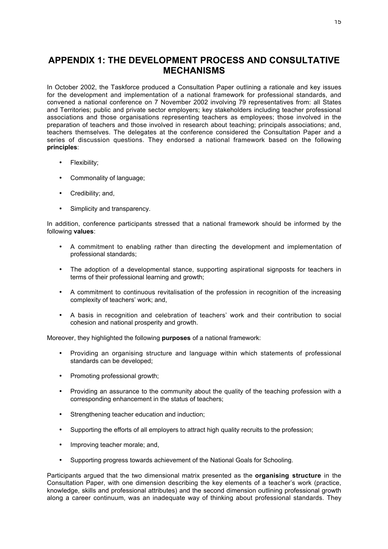# **APPENDIX 1: THE DEVELOPMENT PROCESS AND CONSULTATIVE MECHANISMS**

In October 2002, the Taskforce produced a Consultation Paper outlining a rationale and key issues for the development and implementation of a national framework for professional standards, and convened a national conference on 7 November 2002 involving 79 representatives from: all States and Territories; public and private sector employers; key stakeholders including teacher professional associations and those organisations representing teachers as employees; those involved in the preparation of teachers and those involved in research about teaching; principals associations; and, teachers themselves. The delegates at the conference considered the Consultation Paper and a series of discussion questions. They endorsed a national framework based on the following **principles**:

- Flexibility;
- Commonality of language;
- Credibility; and,
- Simplicity and transparency.

In addition, conference participants stressed that a national framework should be informed by the following **values**:

- A commitment to enabling rather than directing the development and implementation of professional standards;
- The adoption of a developmental stance, supporting aspirational signposts for teachers in terms of their professional learning and growth;
- A commitment to continuous revitalisation of the profession in recognition of the increasing complexity of teachers' work; and,
- A basis in recognition and celebration of teachersí work and their contribution to social cohesion and national prosperity and growth.

Moreover, they highlighted the following **purposes** of a national framework:

- Providing an organising structure and language within which statements of professional standards can be developed;
- Promoting professional growth;
- Providing an assurance to the community about the quality of the teaching profession with a corresponding enhancement in the status of teachers;
- Strengthening teacher education and induction;
- Supporting the efforts of all employers to attract high quality recruits to the profession;
- Improving teacher morale; and,
- Supporting progress towards achievement of the National Goals for Schooling.

Participants argued that the two dimensional matrix presented as the **organising structure** in the Consultation Paper, with one dimension describing the key elements of a teacher's work (practice, knowledge, skills and professional attributes) and the second dimension outlining professional growth along a career continuum, was an inadequate way of thinking about professional standards. They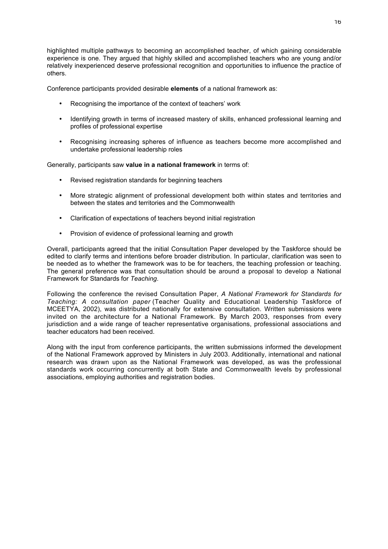highlighted multiple pathways to becoming an accomplished teacher, of which gaining considerable experience is one. They argued that highly skilled and accomplished teachers who are young and/or relatively inexperienced deserve professional recognition and opportunities to influence the practice of others.

Conference participants provided desirable **elements** of a national framework as:

- Recognising the importance of the context of teachers' work
- Identifying growth in terms of increased mastery of skills, enhanced professional learning and profiles of professional expertise
- Recognising increasing spheres of influence as teachers become more accomplished and undertake professional leadership roles

Generally, participants saw **value in a national framework** in terms of:

- Revised registration standards for beginning teachers
- More strategic alignment of professional development both within states and territories and between the states and territories and the Commonwealth
- Clarification of expectations of teachers beyond initial registration
- Provision of evidence of professional learning and growth

Overall, participants agreed that the initial Consultation Paper developed by the Taskforce should be edited to clarify terms and intentions before broader distribution. In particular, clarification was seen to be needed as to whether the framework was to be for teachers, the teaching profession or teaching. The general preference was that consultation should be around a proposal to develop a National Framework for Standards for *Teaching*.

Following the conference the revised Consultation Paper, *A National Framework for Standards for Teaching: A consultation paper* (Teacher Quality and Educational Leadership Taskforce of MCEETYA, 2002), was distributed nationally for extensive consultation. Written submissions were invited on the architecture for a National Framework. By March 2003, responses from every jurisdiction and a wide range of teacher representative organisations, professional associations and teacher educators had been received.

Along with the input from conference participants, the written submissions informed the development of the National Framework approved by Ministers in July 2003. Additionally, international and national research was drawn upon as the National Framework was developed, as was the professional standards work occurring concurrently at both State and Commonwealth levels by professional associations, employing authorities and registration bodies.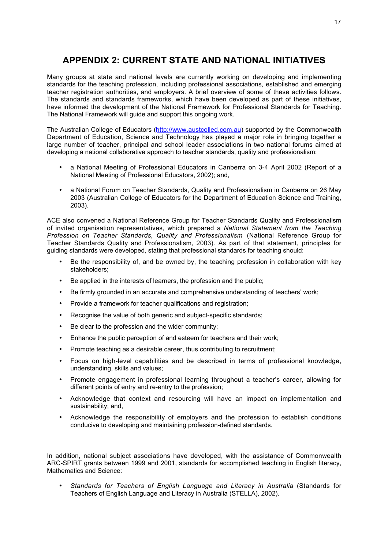# **APPENDIX 2: CURRENT STATE AND NATIONAL INITIATIVES**

Many groups at state and national levels are currently working on developing and implementing standards for the teaching profession, including professional associations, established and emerging teacher registration authorities, and employers. A brief overview of some of these activities follows. The standards and standards frameworks, which have been developed as part of these initiatives, have informed the development of the National Framework for Professional Standards for Teaching. The National Framework will guide and support this ongoing work.

The Australian College of Educators (http://www.austcolled.com.au) supported by the Commonwealth Department of Education, Science and Technology has played a major role in bringing together a large number of teacher, principal and school leader associations in two national forums aimed at developing a national collaborative approach to teacher standards, quality and professionalism:

- a National Meeting of Professional Educators in Canberra on 3-4 April 2002 (Report of a National Meeting of Professional Educators, 2002); and,
- a National Forum on Teacher Standards, Quality and Professionalism in Canberra on 26 May 2003 (Australian College of Educators for the Department of Education Science and Training, 2003).

ACE also convened a National Reference Group for Teacher Standards Quality and Professionalism of invited organisation representatives, which prepared a *National Statement from the Teaching Profession on Teacher Standards, Quality and Professionalism* (National Reference Group for Teacher Standards Quality and Professionalism, 2003). As part of that statement, principles for guiding standards were developed, stating that professional standards for teaching should:

- Be the responsibility of, and be owned by, the teaching profession in collaboration with key stakeholders;
- Be applied in the interests of learners, the profession and the public;
- Be firmly grounded in an accurate and comprehensive understanding of teachers' work;
- Provide a framework for teacher qualifications and registration;
- Recognise the value of both generic and subject-specific standards;
- Be clear to the profession and the wider community;
- Enhance the public perception of and esteem for teachers and their work;
- Promote teaching as a desirable career, thus contributing to recruitment;
- Focus on high-level capabilities and be described in terms of professional knowledge, understanding, skills and values;
- Promote engagement in professional learning throughout a teacherís career, allowing for different points of entry and re-entry to the profession;
- Acknowledge that context and resourcing will have an impact on implementation and sustainability; and,
- Acknowledge the responsibility of employers and the profession to establish conditions conducive to developing and maintaining profession-defined standards.

In addition, national subject associations have developed, with the assistance of Commonwealth ARC-SPIRT grants between 1999 and 2001, standards for accomplished teaching in English literacy, Mathematics and Science:

• *Standards for Teachers of English Language and Literacy in Australia* (Standards for Teachers of English Language and Literacy in Australia (STELLA), 2002).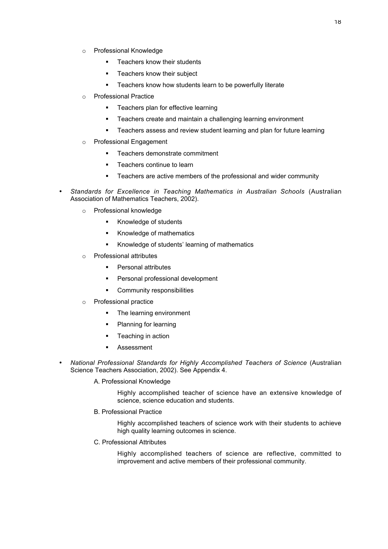- o Professional Knowledge
	- **EXECUTE:** Teachers know their students
	- **EXECUTE:** Teachers know their subject
	- **EXEC** Teachers know how students learn to be powerfully literate
- o Professional Practice
	- **EXEC** Teachers plan for effective learning
	- ! Teachers create and maintain a challenging learning environment
	- **EXE** Teachers assess and review student learning and plan for future learning
- o Professional Engagement
	- ! Teachers demonstrate commitment
	- Teachers continue to learn
	- ! Teachers are active members of the professional and wider community
- *Standards for Excellence in Teaching Mathematics in Australian Schools* (Australian Association of Mathematics Teachers, 2002).
	- o Professional knowledge
		- **EXECUTE EXECUTE:** Knowledge of students
		- ! Knowledge of mathematics
		- **EXEDED IS EXEDED EXE** Knowledge of students' learning of mathematics
	- o Professional attributes
		- Personal attributes
		- **EXEC** Personal professional development
		- ! Community responsibilities
	- o Professional practice
		- ! The learning environment
		- Planning for learning
		- Teaching in action
		- ! Assessment
- *National Professional Standards for Highly Accomplished Teachers of Science* (Australian Science Teachers Association, 2002). See Appendix 4.
	- A. Professional Knowledge

Highly accomplished teacher of science have an extensive knowledge of science, science education and students.

B. Professional Practice

Highly accomplished teachers of science work with their students to achieve high quality learning outcomes in science.

C. Professional Attributes

Highly accomplished teachers of science are reflective, committed to improvement and active members of their professional community.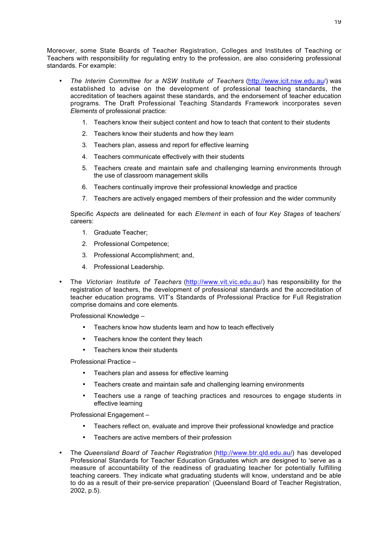Moreover, some State Boards of Teacher Registration, Colleges and Institutes of Teaching or Teachers with responsibility for regulating entry to the profession, are also considering professional standards. For example:

- *The Interim Committee for a NSW Institute of Teachers* (http://www.icit.nsw.edu.au/) was established to advise on the development of professional teaching standards, the accreditation of teachers against these standards, and the endorsement of teacher education programs. The Draft Professional Teaching Standards Framework incorporates seven *Elements* of professional practice:
	- 1. Teachers know their subject content and how to teach that content to their students
	- 2. Teachers know their students and how they learn
	- 3. Teachers plan, assess and report for effective learning
	- 4. Teachers communicate effectively with their students
	- 5. Teachers create and maintain safe and challenging learning environments through the use of classroom management skills
	- 6. Teachers continually improve their professional knowledge and practice
	- 7. Teachers are actively engaged members of their profession and the wider community

Specific *Aspects* are delineated for each *Element* in each of four *Key Stages* of teachersí careers:

- 1. Graduate Teacher;
- 2. Professional Competence;
- 3. Professional Accomplishment; and,
- 4. Professional Leadership.

• The *Victorian Institute of Teachers* (http://www.vit.vic.edu.au/) has responsibility for the registration of teachers, the development of professional standards and the accreditation of teacher education programs. VITís Standards of Professional Practice for Full Registration comprise domains and core elements.

Professional Knowledge -

- Teachers know how students learn and how to teach effectively
- Teachers know the content they teach
- Teachers know their students

Professional Practice -

- Teachers plan and assess for effective learning
- Teachers create and maintain safe and challenging learning environments
- Teachers use a range of teaching practices and resources to engage students in effective learning

Professional Engagement -

- Teachers reflect on, evaluate and improve their professional knowledge and practice
- Teachers are active members of their profession
- The *Queensland Board of Teacher Registration* (http://www.btr.qld.edu.au/) has developed Professional Standards for Teacher Education Graduates which are designed to ëserve as a measure of accountability of the readiness of graduating teacher for potentially fulfilling teaching careers. They indicate what graduating students will know, understand and be able to do as a result of their pre-service preparation<sup>7</sup> (Queensland Board of Teacher Registration, 2002, p.5).